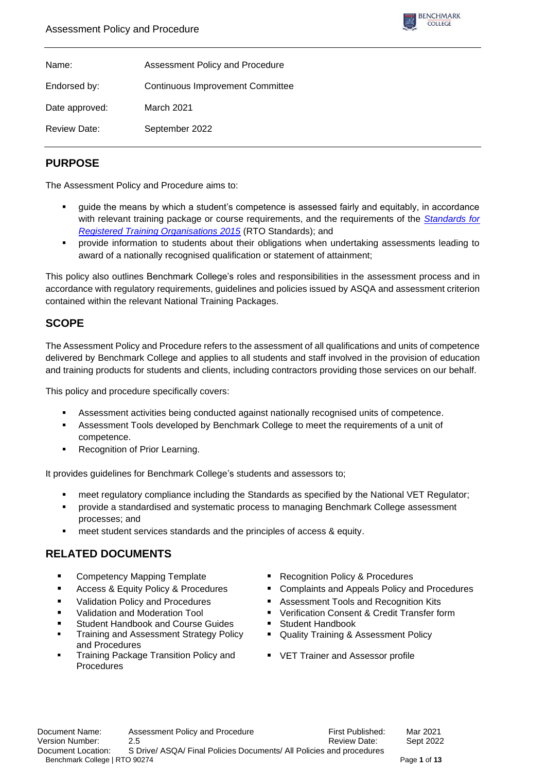

| Name:               | Assessment Policy and Procedure         |
|---------------------|-----------------------------------------|
| Endorsed by:        | <b>Continuous Improvement Committee</b> |
| Date approved:      | March 2021                              |
| <b>Review Date:</b> | September 2022                          |

# **PURPOSE**

The Assessment Policy and Procedure aims to:

- guide the means by which a student's competence is assessed fairly and equitably, in accordance with relevant training package or course requirements, and the requirements of the *[Standards for](https://www.legislation.gov.au/Details/F2019C00503)  [Registered Training Organisations 2015](https://www.legislation.gov.au/Details/F2019C00503)* (RTO Standards); and
- **•** provide information to students about their obligations when undertaking assessments leading to award of a nationally recognised qualification or statement of attainment;

This policy also outlines Benchmark College's roles and responsibilities in the assessment process and in accordance with regulatory requirements, guidelines and policies issued by ASQA and assessment criterion contained within the relevant National Training Packages.

# **SCOPE**

The Assessment Policy and Procedure refers to the assessment of all qualifications and units of competence delivered by Benchmark College and applies to all students and staff involved in the provision of education and training products for students and clients, including contractors providing those services on our behalf.

This policy and procedure specifically covers:

- **EXECTS Assessment activities being conducted against nationally recognised units of competence.**
- Assessment Tools developed by Benchmark College to meet the requirements of a unit of competence.
- Recognition of Prior Learning.

It provides guidelines for Benchmark College's students and assessors to;

- meet regulatory compliance including the Standards as specified by the National VET Regulator;
- provide a standardised and systematic process to managing Benchmark College assessment processes; and
- meet student services standards and the principles of access & equity.

# **RELATED DOCUMENTS**

- Competency Mapping Template Recognition Policy & Procedures
- 
- 
- 
- Student Handbook and Course Guides **·** Student Handbook
- Training and Assessment Strategy Policy and Procedures
- **Training Package Transition Policy and Procedures**
- 
- Access & Equity Policy & Procedures Complaints and Appeals Policy and Procedures
- Validation Policy and Procedures Assessment Tools and Recognition Kits
	- Validation and Moderation Tool **■** Verification Consent & Credit Transfer form
		-
		- Quality Training & Assessment Policy
		- VET Trainer and Assessor profile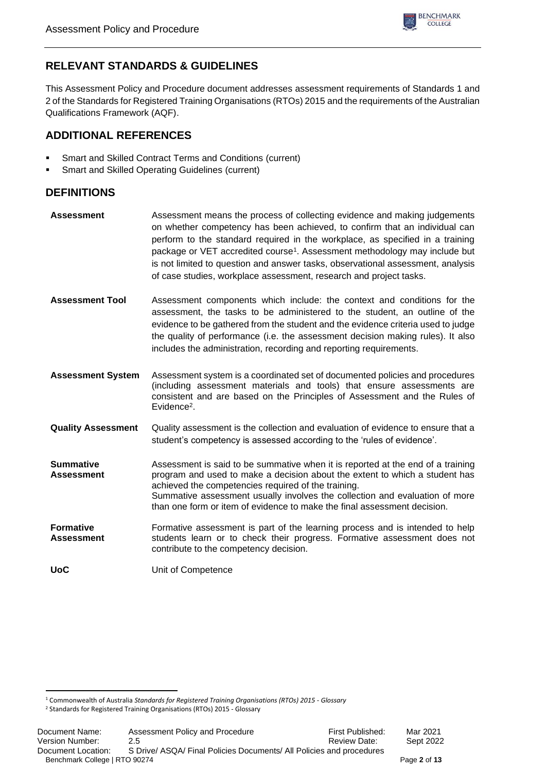

# **RELEVANT STANDARDS & GUIDELINES**

This Assessment Policy and Procedure document addresses assessment requirements of Standards 1 and 2 of the Standards for Registered Training Organisations (RTOs) 2015 and the requirements of the Australian Qualifications Framework (AQF).

# **ADDITIONAL REFERENCES**

- Smart and Skilled Contract Terms and Conditions (current)
- Smart and Skilled Operating Guidelines (current)

# **DEFINITIONS**

- **Assessment** Assessment means the process of collecting evidence and making judgements on whether competency has been achieved, to confirm that an individual can perform to the standard required in the workplace, as specified in a training package or VET accredited course<sup>1</sup>. Assessment methodology may include but is not limited to question and answer tasks, observational assessment, analysis of case studies, workplace assessment, research and project tasks.
- **Assessment Tool** Assessment components which include: the context and conditions for the assessment, the tasks to be administered to the student, an outline of the evidence to be gathered from the student and the evidence criteria used to judge the quality of performance (i.e. the assessment decision making rules). It also includes the administration, recording and reporting requirements.
- **Assessment System** Assessment system is a coordinated set of documented policies and procedures (including assessment materials and tools) that ensure assessments are consistent and are based on the Principles of Assessment and the Rules of Evidence<sup>2</sup>.
- **Quality Assessment** Quality assessment is the collection and evaluation of evidence to ensure that a student's competency is assessed according to the 'rules of evidence'.
- **Summative Assessment** Assessment is said to be summative when it is reported at the end of a training program and used to make a decision about the extent to which a student has achieved the competencies required of the training. Summative assessment usually involves the collection and evaluation of more than one form or item of evidence to make the final assessment decision.
- **Formative Assessment** Formative assessment is part of the learning process and is intended to help students learn or to check their progress. Formative assessment does not contribute to the competency decision.

**UoC** Unit of Competence

<sup>1</sup> Commonwealth of Australia *Standards for Registered Training Organisations (RTOs) 2015 - Glossary*

<sup>2</sup> Standards for Registered Training Organisations (RTOs) 2015 - Glossary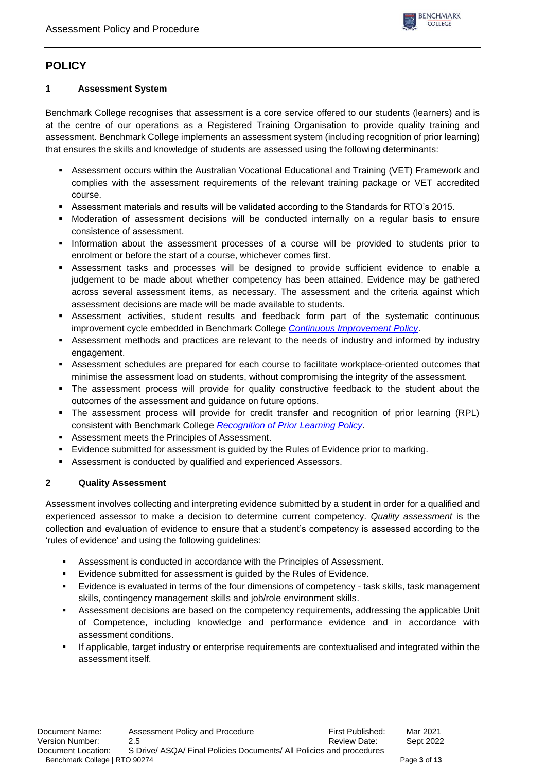

# **POLICY**

## **1 Assessment System**

Benchmark College recognises that assessment is a core service offered to our students (learners) and is at the centre of our operations as a Registered Training Organisation to provide quality training and assessment. Benchmark College implements an assessment system (including recognition of prior learning) that ensures the skills and knowledge of students are assessed using the following determinants:

- **EXECTS ASSESSMENT OCCURS WITHING MEDIA CONTROL EDUCATE:** Assessment occurs within the Australian Vocational Educational and Training (VET) Framework and complies with the assessment requirements of the relevant training package or VET accredited course.
- Assessment materials and results will be validated according to the Standards for RTO's 2015.
- Moderation of assessment decisions will be conducted internally on a regular basis to ensure consistence of assessment.
- Information about the assessment processes of a course will be provided to students prior to enrolment or before the start of a course, whichever comes first.
- Assessment tasks and processes will be designed to provide sufficient evidence to enable a judgement to be made about whether competency has been attained. Evidence may be gathered across several assessment items, as necessary. The assessment and the criteria against which assessment decisions are made will be made available to students.
- **EXECTS Assessment activities, student results and feedback form part of the systematic continuous** improvement cycle embedded in Benchmark College *[Continuous Improvement Policy](https://www.benchmark.edu.au/policies-procedures)*.
- **EXECTS ASSESSMENT METHODES AND PROTECTS ARE ASSESSMENT ASSESSMENT AREADLEM** ASSESSMENT ASSESSMENT ASSESSMENT ASSESSMENT ASSESSMENT ASSESSMENT ASSESSMENT ASSESSMENT ASSESSMENT ASSESSMENT ASSESSMENT ASSESSMENT ASSESSMENT AS engagement.
- Assessment schedules are prepared for each course to facilitate workplace-oriented outcomes that minimise the assessment load on students, without compromising the integrity of the assessment.
- The assessment process will provide for quality constructive feedback to the student about the outcomes of the assessment and guidance on future options.
- The assessment process will provide for credit transfer and recognition of prior learning (RPL) consistent with Benchmark College *[Recognition of Prior Learning Policy](https://www.benchmark.edu.au/policies-procedures)*.
- Assessment meets the Principles of Assessment.
- **Exidence submitted for assessment is guided by the Rules of Evidence prior to marking.**
- Assessment is conducted by qualified and experienced Assessors.

## **2 Quality Assessment**

Assessment involves collecting and interpreting evidence submitted by a student in order for a qualified and experienced assessor to make a decision to determine current competency. *Quality assessment* is the collection and evaluation of evidence to ensure that a student's competency is assessed according to the 'rules of evidence' and using the following guidelines:

- Assessment is conducted in accordance with the Principles of Assessment.
- Evidence submitted for assessment is guided by the Rules of Evidence.
- Evidence is evaluated in terms of the four dimensions of competency task skills, task management skills, contingency management skills and job/role environment skills.
- Assessment decisions are based on the competency requirements, addressing the applicable Unit of Competence, including knowledge and performance evidence and in accordance with assessment conditions.
- If applicable, target industry or enterprise requirements are contextualised and integrated within the assessment itself.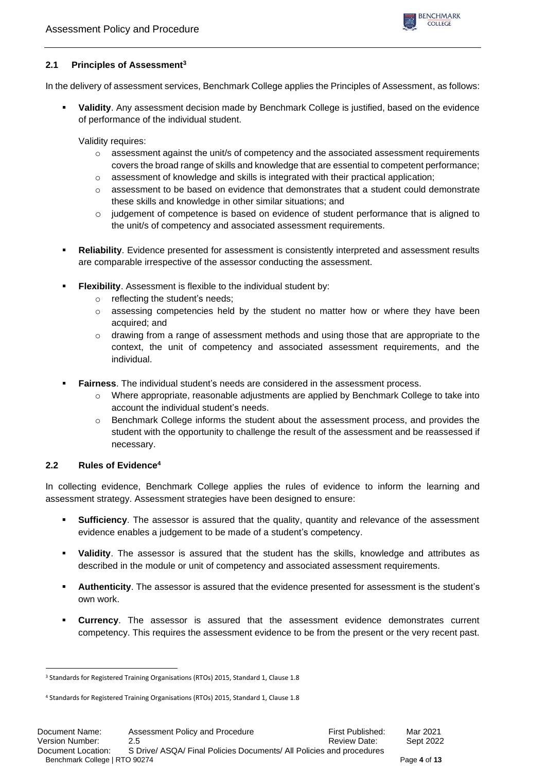

## **2.1 Principles of Assessment<sup>3</sup>**

In the delivery of assessment services, Benchmark College applies the Principles of Assessment, as follows:

▪ **Validity**. Any assessment decision made by Benchmark College is justified, based on the evidence of performance of the individual student.

Validity requires:

- $\circ$  assessment against the unit/s of competency and the associated assessment requirements covers the broad range of skills and knowledge that are essential to competent performance;
- $\circ$  assessment of knowledge and skills is integrated with their practical application;
- $\circ$  assessment to be based on evidence that demonstrates that a student could demonstrate these skills and knowledge in other similar situations; and
- o judgement of competence is based on evidence of student performance that is aligned to the unit/s of competency and associated assessment requirements.
- **Reliability**. Evidence presented for assessment is consistently interpreted and assessment results are comparable irrespective of the assessor conducting the assessment.
- **Flexibility.** Assessment is flexible to the individual student by:
	- o reflecting the student's needs;
	- $\circ$  assessing competencies held by the student no matter how or where they have been acquired; and
	- o drawing from a range of assessment methods and using those that are appropriate to the context, the unit of competency and associated assessment requirements, and the individual.
- Fairness. The individual student's needs are considered in the assessment process.
	- o Where appropriate, reasonable adjustments are applied by Benchmark College to take into account the individual student's needs.
	- o Benchmark College informs the student about the assessment process, and provides the student with the opportunity to challenge the result of the assessment and be reassessed if necessary.

## **2.2 Rules of Evidence<sup>4</sup>**

In collecting evidence, Benchmark College applies the rules of evidence to inform the learning and assessment strategy. Assessment strategies have been designed to ensure:

- **Sufficiency**. The assessor is assured that the quality, quantity and relevance of the assessment evidence enables a judgement to be made of a student's competency.
- **Validity**. The assessor is assured that the student has the skills, knowledge and attributes as described in the module or unit of competency and associated assessment requirements.
- Authenticity. The assessor is assured that the evidence presented for assessment is the student's own work.
- **Currency**. The assessor is assured that the assessment evidence demonstrates current competency. This requires the assessment evidence to be from the present or the very recent past.

<sup>&</sup>lt;sup>3</sup> Standards for Registered Training Organisations (RTOs) 2015, Standard 1, Clause 1.8

<sup>4</sup> Standards for Registered Training Organisations (RTOs) 2015, Standard 1, Clause 1.8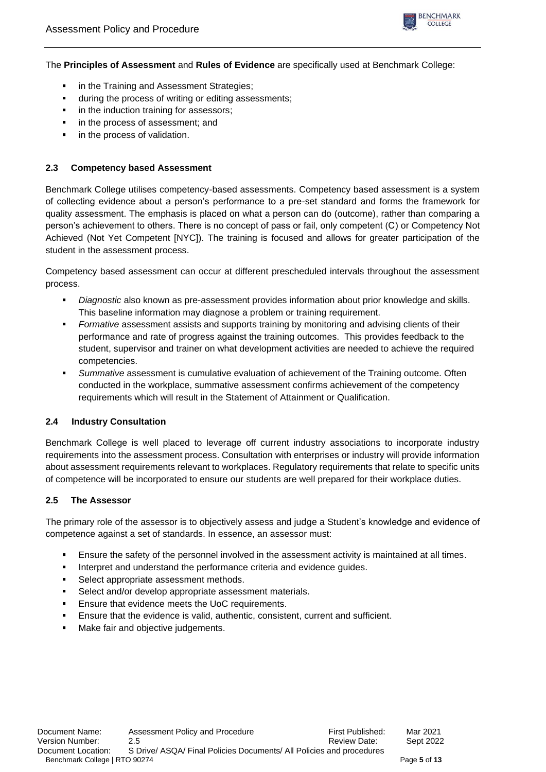

The **Principles of Assessment** and **Rules of Evidence** are specifically used at Benchmark College:

- **•** in the Training and Assessment Strategies;
- **■** during the process of writing or editing assessments;
- **■** in the induction training for assessors:
- in the process of assessment; and
- **·** in the process of validation.

## **2.3 Competency based Assessment**

Benchmark College utilises competency-based assessments. Competency based assessment is a system of collecting evidence about a person's performance to a pre-set standard and forms the framework for quality assessment. The emphasis is placed on what a person can do (outcome), rather than comparing a person's achievement to others. There is no concept of pass or fail, only competent (C) or Competency Not Achieved (Not Yet Competent [NYC]). The training is focused and allows for greater participation of the student in the assessment process.

Competency based assessment can occur at different prescheduled intervals throughout the assessment process.

- *Diagnostic* also known as pre-assessment provides information about prior knowledge and skills. This baseline information may diagnose a problem or training requirement.
- Formative assessment assists and supports training by monitoring and advising clients of their performance and rate of progress against the training outcomes. This provides feedback to the student, supervisor and trainer on what development activities are needed to achieve the required competencies.
- **EXECUTE:** Summative assessment is cumulative evaluation of achievement of the Training outcome. Often conducted in the workplace, summative assessment confirms achievement of the competency requirements which will result in the Statement of Attainment or Qualification.

## **2.4 Industry Consultation**

Benchmark College is well placed to leverage off current industry associations to incorporate industry requirements into the assessment process. Consultation with enterprises or industry will provide information about assessment requirements relevant to workplaces. Regulatory requirements that relate to specific units of competence will be incorporated to ensure our students are well prepared for their workplace duties.

## **2.5 The Assessor**

The primary role of the assessor is to objectively assess and judge a Student's knowledge and evidence of competence against a set of standards. In essence, an assessor must:

- **Ensure the safety of the personnel involved in the assessment activity is maintained at all times.**
- **EXECTE:** Interpret and understand the performance criteria and evidence quides.
- Select appropriate assessment methods.
- Select and/or develop appropriate assessment materials.
- Ensure that evidence meets the UoC requirements.
- Ensure that the evidence is valid, authentic, consistent, current and sufficient.
- Make fair and objective judgements.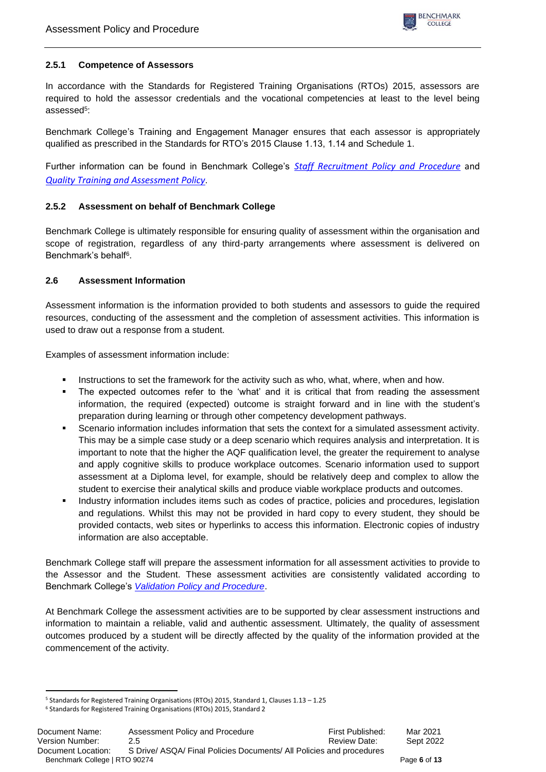## **2.5.1 Competence of Assessors**

In accordance with the Standards for Registered Training Organisations (RTOs) 2015, assessors are required to hold the assessor credentials and the vocational competencies at least to the level being assessed<sup>5</sup>:

Benchmark College's Training and Engagement Manager ensures that each assessor is appropriately qualified as prescribed in the Standards for RTO's 2015 Clause 1.13, 1.14 and Schedule 1.

Further information can be found in Benchmark College's *[Staff Recruitment Policy and Procedure](https://www.benchmark.edu.au/policies-procedures)* and *[Quality Training and](https://www.benchmark.edu.au/policies-procedures) Assessment Policy*.

## **2.5.2 Assessment on behalf of Benchmark College**

Benchmark College is ultimately responsible for ensuring quality of assessment within the organisation and scope of registration, regardless of any third-party arrangements where assessment is delivered on Benchmark's behalf<sup>6</sup>.

## **2.6 Assessment Information**

Assessment information is the information provided to both students and assessors to guide the required resources, conducting of the assessment and the completion of assessment activities. This information is used to draw out a response from a student.

Examples of assessment information include:

- **EXECT** Instructions to set the framework for the activity such as who, what, where, when and how.
- The expected outcomes refer to the 'what' and it is critical that from reading the assessment information, the required (expected) outcome is straight forward and in line with the student's preparation during learning or through other competency development pathways.
- **•** Scenario information includes information that sets the context for a simulated assessment activity. This may be a simple case study or a deep scenario which requires analysis and interpretation. It is important to note that the higher the AQF qualification level, the greater the requirement to analyse and apply cognitive skills to produce workplace outcomes. Scenario information used to support assessment at a Diploma level, for example, should be relatively deep and complex to allow the student to exercise their analytical skills and produce viable workplace products and outcomes.
- **•** Industry information includes items such as codes of practice, policies and procedures, legislation and regulations. Whilst this may not be provided in hard copy to every student, they should be provided contacts, web sites or hyperlinks to access this information. Electronic copies of industry information are also acceptable.

Benchmark College staff will prepare the assessment information for all assessment activities to provide to the Assessor and the Student. These assessment activities are consistently validated according to Benchmark College's *[Validation Policy and Procedure](https://www.benchmark.edu.au/policies-procedures)*.

At Benchmark College the assessment activities are to be supported by clear assessment instructions and information to maintain a reliable, valid and authentic assessment. Ultimately, the quality of assessment outcomes produced by a student will be directly affected by the quality of the information provided at the commencement of the activity.

<sup>5</sup> Standards for Registered Training Organisations (RTOs) 2015, Standard 1, Clauses 1.13 – 1.25

<sup>6</sup> Standards for Registered Training Organisations (RTOs) 2015, Standard 2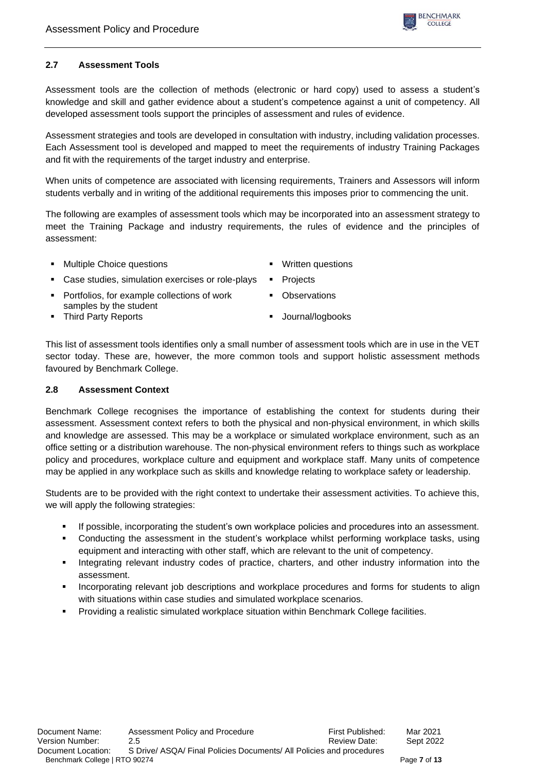

## **2.7 Assessment Tools**

Assessment tools are the collection of methods (electronic or hard copy) used to assess a student's knowledge and skill and gather evidence about a student's competence against a unit of competency. All developed assessment tools support the principles of assessment and rules of evidence.

Assessment strategies and tools are developed in consultation with industry, including validation processes. Each Assessment tool is developed and mapped to meet the requirements of industry Training Packages and fit with the requirements of the target industry and enterprise.

When units of competence are associated with licensing requirements, Trainers and Assessors will inform students verbally and in writing of the additional requirements this imposes prior to commencing the unit.

The following are examples of assessment tools which may be incorporated into an assessment strategy to meet the Training Package and industry requirements, the rules of evidence and the principles of assessment:

- **Multiple Choice questions ■** Written questions
	-
- Case studies, simulation exercises or role-plays Projects
- Portfolios, for example collections of work samples by the student
- Observations
- Third Party Reports Journal/logbooks
	-

This list of assessment tools identifies only a small number of assessment tools which are in use in the VET sector today. These are, however, the more common tools and support holistic assessment methods favoured by Benchmark College.

## **2.8 Assessment Context**

Benchmark College recognises the importance of establishing the context for students during their assessment. Assessment context refers to both the physical and non-physical environment, in which skills and knowledge are assessed. This may be a workplace or simulated workplace environment, such as an office setting or a distribution warehouse. The non-physical environment refers to things such as workplace policy and procedures, workplace culture and equipment and workplace staff. Many units of competence may be applied in any workplace such as skills and knowledge relating to workplace safety or leadership.

Students are to be provided with the right context to undertake their assessment activities. To achieve this, we will apply the following strategies:

- **■** If possible, incorporating the student's own workplace policies and procedures into an assessment.
- Conducting the assessment in the student's workplace whilst performing workplace tasks, using equipment and interacting with other staff, which are relevant to the unit of competency.
- Integrating relevant industry codes of practice, charters, and other industry information into the assessment.
- Incorporating relevant job descriptions and workplace procedures and forms for students to align with situations within case studies and simulated workplace scenarios.
- Providing a realistic simulated workplace situation within Benchmark College facilities.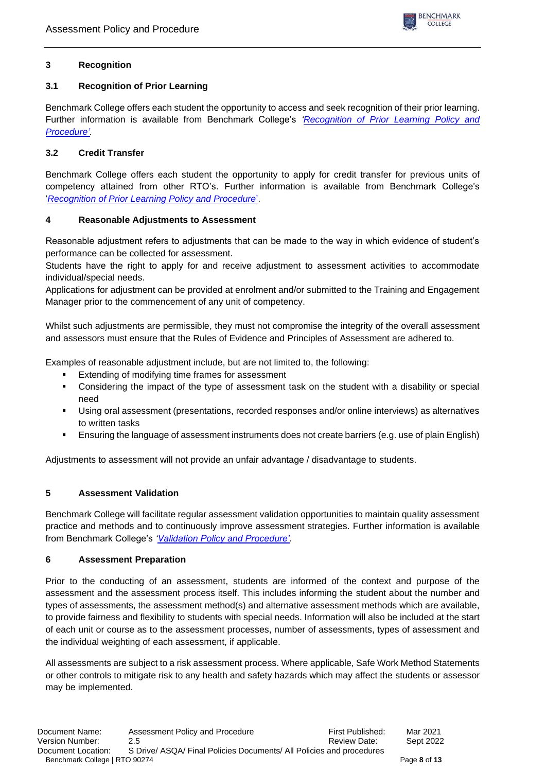## **3 Recognition**

## **3.1 Recognition of Prior Learning**

Benchmark College offers each student the opportunity to access and seek recognition of their prior learning. Further information is available from Benchmark College's *'Recognition [of Prior Learning Policy and](https://www.benchmark.edu.au/policies-procedures)  [Procedure'.](https://www.benchmark.edu.au/policies-procedures)*

## **3.2 Credit Transfer**

Benchmark College offers each student the opportunity to apply for credit transfer for previous units of competency attained from other RTO's. Further information is available from Benchmark College's '*[Recognition of Prior Learning Policy and Procedure](https://www.benchmark.edu.au/policies-procedures)*'.

## **4 Reasonable Adjustments to Assessment**

Reasonable adjustment refers to adjustments that can be made to the way in which evidence of student's performance can be collected for assessment.

Students have the right to apply for and receive adjustment to assessment activities to accommodate individual/special needs.

Applications for adjustment can be provided at enrolment and/or submitted to the Training and Engagement Manager prior to the commencement of any unit of competency.

Whilst such adjustments are permissible, they must not compromise the integrity of the overall assessment and assessors must ensure that the Rules of Evidence and Principles of Assessment are adhered to.

Examples of reasonable adjustment include, but are not limited to, the following:

- Extending of modifying time frames for assessment
- Considering the impact of the type of assessment task on the student with a disability or special need
- Using oral assessment (presentations, recorded responses and/or online interviews) as alternatives to written tasks
- **Ensuring the language of assessment instruments does not create barriers (e.g. use of plain English)**

Adjustments to assessment will not provide an unfair advantage / disadvantage to students.

## **5 Assessment Validation**

Benchmark College will facilitate regular assessment validation opportunities to maintain quality assessment practice and methods and to continuously improve assessment strategies. Further information is available from Benchmark College's *['Validation Policy and Procedure'.](https://www.benchmark.edu.au/policies-procedures)*

## **6 Assessment Preparation**

Prior to the conducting of an assessment, students are informed of the context and purpose of the assessment and the assessment process itself. This includes informing the student about the number and types of assessments, the assessment method(s) and alternative assessment methods which are available, to provide fairness and flexibility to students with special needs. Information will also be included at the start of each unit or course as to the assessment processes, number of assessments, types of assessment and the individual weighting of each assessment, if applicable.

All assessments are subject to a risk assessment process. Where applicable, Safe Work Method Statements or other controls to mitigate risk to any health and safety hazards which may affect the students or assessor may be implemented.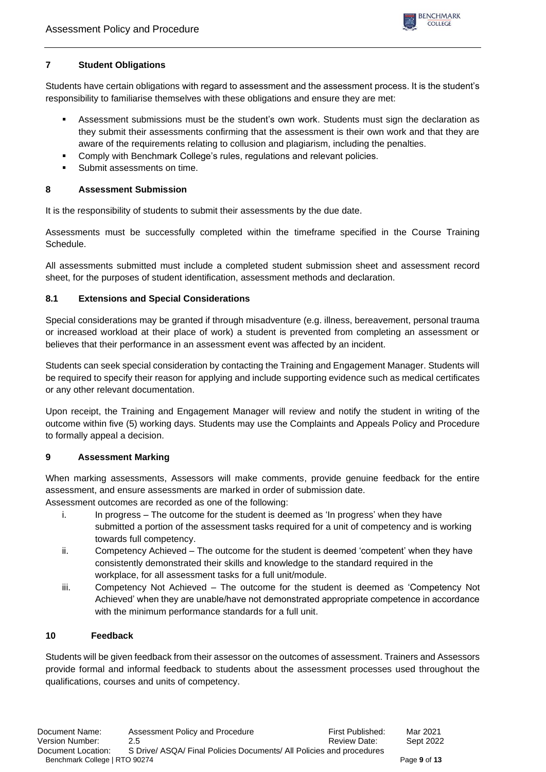

## **7 Student Obligations**

Students have certain obligations with regard to assessment and the assessment process. It is the student's responsibility to familiarise themselves with these obligations and ensure they are met:

- **EXECTS Assessment submissions must be the student's own work. Students must sign the declaration as** they submit their assessments confirming that the assessment is their own work and that they are aware of the requirements relating to collusion and plagiarism, including the penalties.
- Comply with Benchmark College's rules, regulations and relevant policies.
- Submit assessments on time.

## **8 Assessment Submission**

It is the responsibility of students to submit their assessments by the due date.

Assessments must be successfully completed within the timeframe specified in the Course Training Schedule.

All assessments submitted must include a completed student submission sheet and assessment record sheet, for the purposes of student identification, assessment methods and declaration.

## **8.1 Extensions and Special Considerations**

Special considerations may be granted if through misadventure (e.g. illness, bereavement, personal trauma or increased workload at their place of work) a student is prevented from completing an assessment or believes that their performance in an assessment event was affected by an incident.

Students can seek special consideration by contacting the Training and Engagement Manager. Students will be required to specify their reason for applying and include supporting evidence such as medical certificates or any other relevant documentation.

Upon receipt, the Training and Engagement Manager will review and notify the student in writing of the outcome within five (5) working days. Students may use the Complaints and Appeals Policy and Procedure to formally appeal a decision.

## **9 Assessment Marking**

When marking assessments, Assessors will make comments, provide genuine feedback for the entire assessment, and ensure assessments are marked in order of submission date.

Assessment outcomes are recorded as one of the following:

- i. In progress The outcome for the student is deemed as 'In progress' when they have submitted a portion of the assessment tasks required for a unit of competency and is working towards full competency.
- ii. Competency Achieved The outcome for the student is deemed 'competent' when they have consistently demonstrated their skills and knowledge to the standard required in the workplace, for all assessment tasks for a full unit/module.
- iii. Competency Not Achieved The outcome for the student is deemed as 'Competency Not Achieved' when they are unable/have not demonstrated appropriate competence in accordance with the minimum performance standards for a full unit.

## **10 Feedback**

Students will be given feedback from their assessor on the outcomes of assessment. Trainers and Assessors provide formal and informal feedback to students about the assessment processes used throughout the qualifications, courses and units of competency.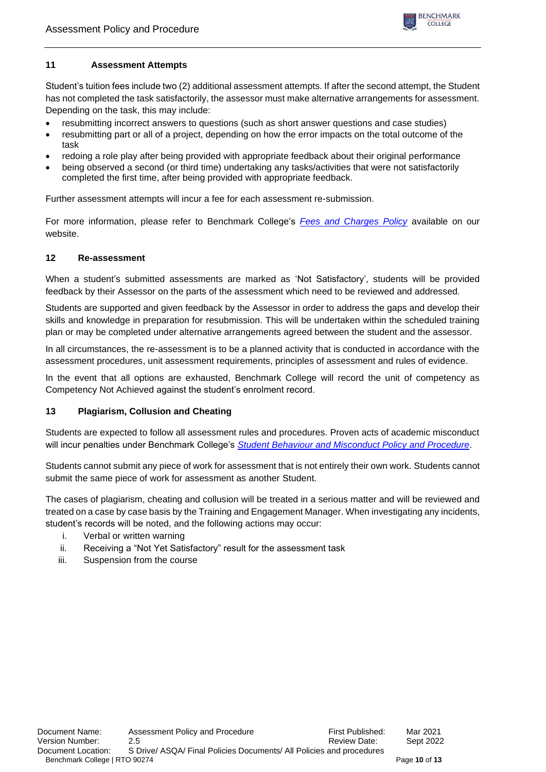

## **11 Assessment Attempts**

Student's tuition fees include two (2) additional assessment attempts. If after the second attempt, the Student has not completed the task satisfactorily, the assessor must make alternative arrangements for assessment. Depending on the task, this may include:

- resubmitting incorrect answers to questions (such as short answer questions and case studies)
- resubmitting part or all of a project, depending on how the error impacts on the total outcome of the task
- redoing a role play after being provided with appropriate feedback about their original performance
- being observed a second (or third time) undertaking any tasks/activities that were not satisfactorily completed the first time, after being provided with appropriate feedback.

Further assessment attempts will incur a fee for each assessment re-submission.

For more information, please refer to Benchmark College's *[Fees and Charges Policy](https://www.benchmark.edu.au/policies-procedures)* available on our website.

## **12 Re-assessment**

When a student's submitted assessments are marked as 'Not Satisfactory', students will be provided feedback by their Assessor on the parts of the assessment which need to be reviewed and addressed.

Students are supported and given feedback by the Assessor in order to address the gaps and develop their skills and knowledge in preparation for resubmission. This will be undertaken within the scheduled training plan or may be completed under alternative arrangements agreed between the student and the assessor.

In all circumstances, the re-assessment is to be a planned activity that is conducted in accordance with the assessment procedures, unit assessment requirements, principles of assessment and rules of evidence.

In the event that all options are exhausted, Benchmark College will record the unit of competency as Competency Not Achieved against the student's enrolment record.

## **13 Plagiarism, Collusion and Cheating**

Students are expected to follow all assessment rules and procedures. Proven acts of academic misconduct will incur penalties under Benchmark College's *[Student Behaviour and Misconduct Policy and Procedure](https://www.benchmark.edu.au/policies-procedures)*.

Students cannot submit any piece of work for assessment that is not entirely their own work. Students cannot submit the same piece of work for assessment as another Student.

The cases of plagiarism, cheating and collusion will be treated in a serious matter and will be reviewed and treated on a case by case basis by the Training and Engagement Manager. When investigating any incidents, student's records will be noted, and the following actions may occur:

- i. Verbal or written warning
- ii. Receiving a "Not Yet Satisfactory" result for the assessment task
- iii. Suspension from the course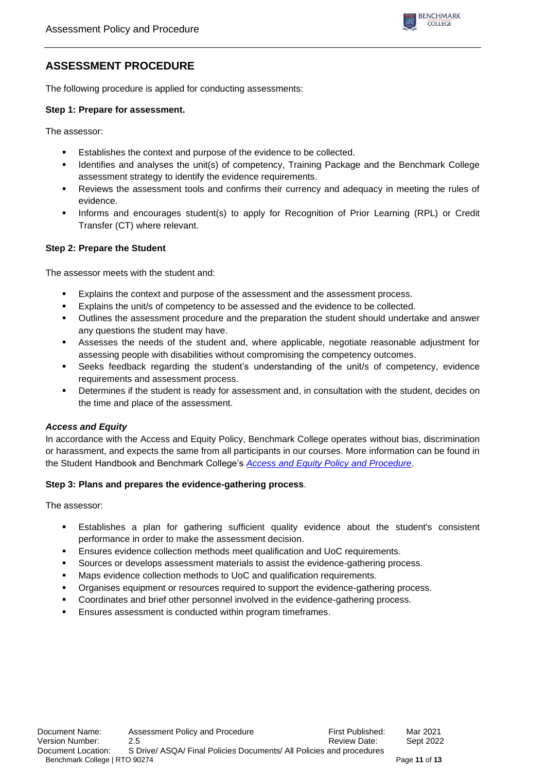

# **ASSESSMENT PROCEDURE**

The following procedure is applied for conducting assessments:

#### **Step 1: Prepare for assessment.**

The assessor:

- **Establishes the context and purpose of the evidence to be collected.**
- Identifies and analyses the unit(s) of competency, Training Package and the Benchmark College assessment strategy to identify the evidence requirements.
- **•** Reviews the assessment tools and confirms their currency and adequacy in meeting the rules of evidence.
- Informs and encourages student(s) to apply for Recognition of Prior Learning (RPL) or Credit Transfer (CT) where relevant.

## **Step 2: Prepare the Student**

The assessor meets with the student and:

- Explains the context and purpose of the assessment and the assessment process.
- Explains the unit/s of competency to be assessed and the evidence to be collected.
- Outlines the assessment procedure and the preparation the student should undertake and answer any questions the student may have.
- Assesses the needs of the student and, where applicable, negotiate reasonable adjustment for assessing people with disabilities without compromising the competency outcomes.
- Seeks feedback regarding the student's understanding of the unit/s of competency, evidence requirements and assessment process.
- **•** Determines if the student is ready for assessment and, in consultation with the student, decides on the time and place of the assessment.

## *Access and Equity*

In accordance with the Access and Equity Policy, Benchmark College operates without bias, discrimination or harassment, and expects the same from all participants in our courses. More information can be found in the Student Handbook and Benchmark College's *Access and Equity Policy [and Procedure](https://www.benchmark.edu.au/policies-procedures)*.

## **Step 3: Plans and prepares the evidence-gathering process**.

The assessor:

- Establishes a plan for gathering sufficient quality evidence about the student's consistent performance in order to make the assessment decision.
- Ensures evidence collection methods meet qualification and UoC requirements.
- Sources or develops assessment materials to assist the evidence-gathering process.
- Maps evidence collection methods to UoC and qualification requirements.
- Organises equipment or resources required to support the evidence-gathering process.
- Coordinates and brief other personnel involved in the evidence-gathering process.
- Ensures assessment is conducted within program timeframes.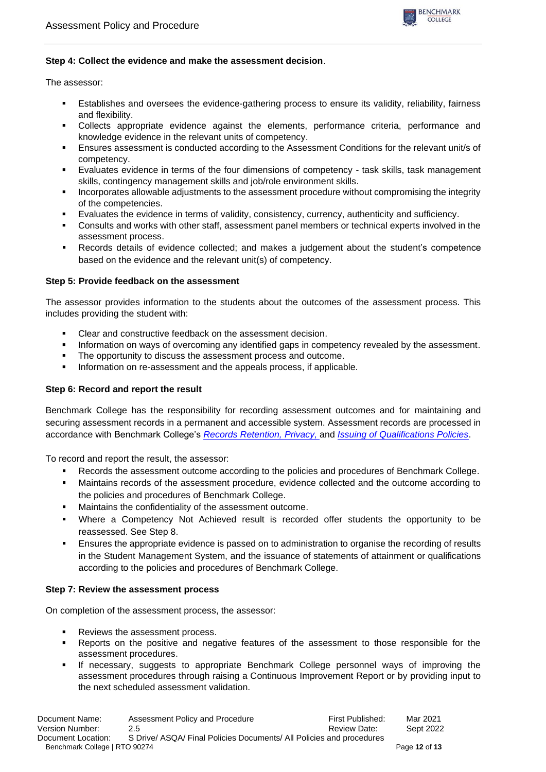

## **Step 4: Collect the evidence and make the assessment decision**.

The assessor:

- **E** Establishes and oversees the evidence-gathering process to ensure its validity, reliability, fairness and flexibility.
- Collects appropriate evidence against the elements, performance criteria, performance and knowledge evidence in the relevant units of competency.
- Ensures assessment is conducted according to the Assessment Conditions for the relevant unit/s of competency.
- Evaluates evidence in terms of the four dimensions of competency task skills, task management skills, contingency management skills and job/role environment skills.
- Incorporates allowable adjustments to the assessment procedure without compromising the integrity of the competencies.
- Evaluates the evidence in terms of validity, consistency, currency, authenticity and sufficiency.
- Consults and works with other staff, assessment panel members or technical experts involved in the assessment process.
- Records details of evidence collected; and makes a judgement about the student's competence based on the evidence and the relevant unit(s) of competency.

#### **Step 5: Provide feedback on the assessment**

The assessor provides information to the students about the outcomes of the assessment process. This includes providing the student with:

- Clear and constructive feedback on the assessment decision.
- **•** Information on ways of overcoming any identified gaps in competency revealed by the assessment.
- The opportunity to discuss the assessment process and outcome.
- Information on re-assessment and the appeals process, if applicable.

#### **Step 6: Record and report the result**

Benchmark College has the responsibility for recording assessment outcomes and for maintaining and securing assessment records in a permanent and accessible system. Assessment records are processed in accordance with Benchmark College's *Records Retention, Privacy,* and *[Issuing of Qualifications Policies](https://www.benchmark.edu.au/policies-procedures)*.

To record and report the result, the assessor:

- Records the assessment outcome according to the policies and procedures of Benchmark College.
- Maintains records of the assessment procedure, evidence collected and the outcome according to the policies and procedures of Benchmark College.
- Maintains the confidentiality of the assessment outcome.
- Where a Competency Not Achieved result is recorded offer students the opportunity to be reassessed. See Step 8.
- **Ensures the appropriate evidence is passed on to administration to organise the recording of results** in the Student Management System, and the issuance of statements of attainment or qualifications according to the policies and procedures of Benchmark College.

#### **Step 7: Review the assessment process**

On completion of the assessment process, the assessor:

- Reviews the assessment process.
- Reports on the positive and negative features of the assessment to those responsible for the assessment procedures.
- If necessary, suggests to appropriate Benchmark College personnel ways of improving the assessment procedures through raising a Continuous Improvement Report or by providing input to the next scheduled assessment validation.